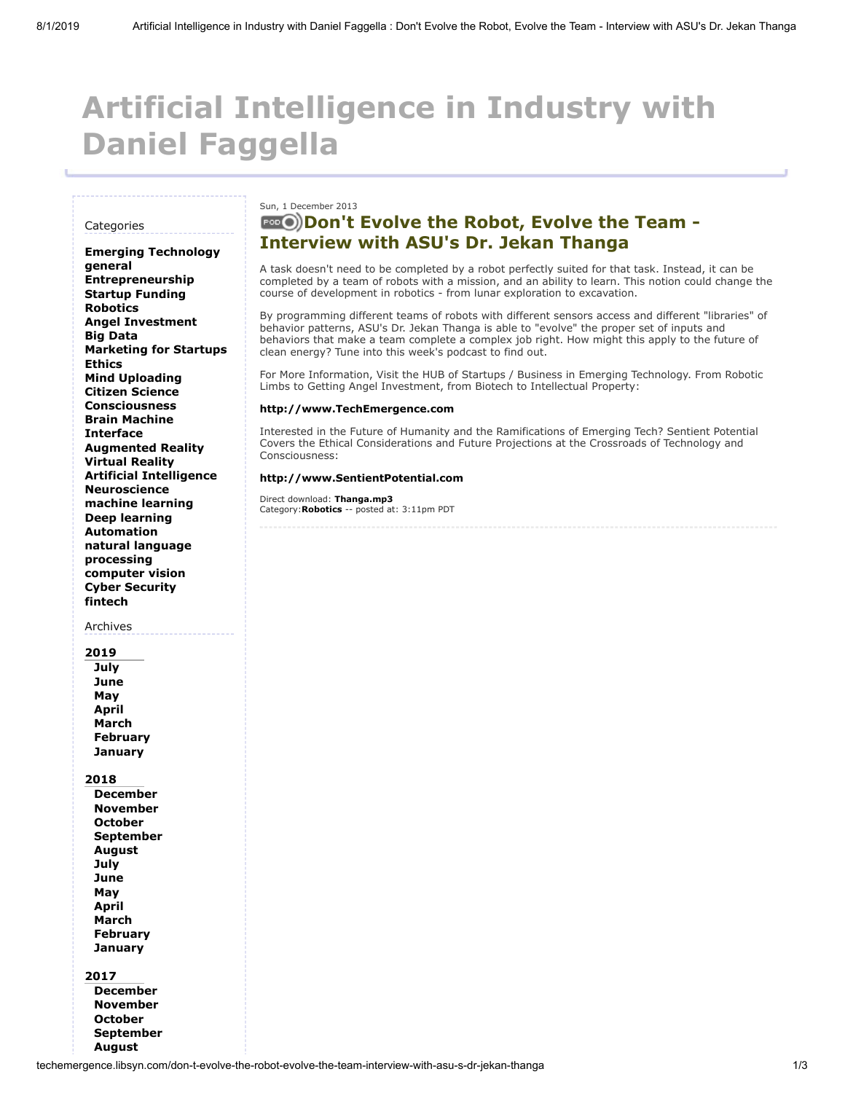# **Artificial Intelligence in Industry with Daniel Faggella**

#### **Categories**

**[Emerging Technology](http://techemergence.libsyn.com/webpage/category/Emerging%20Technology) [general](http://techemergence.libsyn.com/webpage/category/general) [Entrepreneurship](http://techemergence.libsyn.com/webpage/category/Entrepreneurship) [Startup Funding](http://techemergence.libsyn.com/webpage/category/Startup%20Funding) [Robotics](http://techemergence.libsyn.com/webpage/category/Robotics) [Angel Investment](http://techemergence.libsyn.com/webpage/category/Angel%20Investment) [Big Data](http://techemergence.libsyn.com/webpage/category/Big%20Data) [Marketing for Startups](http://techemergence.libsyn.com/webpage/category/Marketing%20for%20Startups) [Ethics](http://techemergence.libsyn.com/webpage/category/Ethics) [Mind Uploading](http://techemergence.libsyn.com/webpage/category/Mind%20Uploading) [Citizen Science](http://techemergence.libsyn.com/webpage/category/Citizen%20Science) [Consciousness](http://techemergence.libsyn.com/webpage/category/Consciousness) [Brain Machine](http://techemergence.libsyn.com/webpage/category/Brain%20Machine%20Interface) Interface [Augmented Reality](http://techemergence.libsyn.com/webpage/category/Augmented%20Reality) [Virtual Reality](http://techemergence.libsyn.com/webpage/category/Virtual%20Reality) [Artificial Intelligence](http://techemergence.libsyn.com/webpage/category/Artificial%20Intelligence) [Neuroscience](http://techemergence.libsyn.com/webpage/category/Neuroscience) [machine learning](http://techemergence.libsyn.com/webpage/category/machine%20learning) [Deep learning](http://techemergence.libsyn.com/webpage/category/Deep%20learning) [Automation](http://techemergence.libsyn.com/webpage/category/Automation) [natural language](http://techemergence.libsyn.com/webpage/category/natural%20language%20processing) processing [computer vision](http://techemergence.libsyn.com/webpage/category/computer%20vision) [Cyber Security](http://techemergence.libsyn.com/webpage/category/Cyber%20Security) [fintech](http://techemergence.libsyn.com/webpage/category/fintech)**

### Archives

**[2019](http://techemergence.libsyn.com/webpage/2019) [July](http://techemergence.libsyn.com/webpage/2019/07) [June](http://techemergence.libsyn.com/webpage/2019/06) [May](http://techemergence.libsyn.com/webpage/2019/05) [April](http://techemergence.libsyn.com/webpage/2019/04) [March](http://techemergence.libsyn.com/webpage/2019/03) [February](http://techemergence.libsyn.com/webpage/2019/02) [January](http://techemergence.libsyn.com/webpage/2019/01)**

**[2018](http://techemergence.libsyn.com/webpage/2018)**

- **[December](http://techemergence.libsyn.com/webpage/2018/12) [November](http://techemergence.libsyn.com/webpage/2018/11) [October](http://techemergence.libsyn.com/webpage/2018/10) [September](http://techemergence.libsyn.com/webpage/2018/09) [August](http://techemergence.libsyn.com/webpage/2018/08) [July](http://techemergence.libsyn.com/webpage/2018/07) [June](http://techemergence.libsyn.com/webpage/2018/06) [May](http://techemergence.libsyn.com/webpage/2018/05) [April](http://techemergence.libsyn.com/webpage/2018/04) [March](http://techemergence.libsyn.com/webpage/2018/03) [February](http://techemergence.libsyn.com/webpage/2018/02) [January](http://techemergence.libsyn.com/webpage/2018/01)**
- **[2017](http://techemergence.libsyn.com/webpage/2017) [December](http://techemergence.libsyn.com/webpage/2017/12) [November](http://techemergence.libsyn.com/webpage/2017/11) [October](http://techemergence.libsyn.com/webpage/2017/10) [September](http://techemergence.libsyn.com/webpage/2017/09)**

**[August](http://techemergence.libsyn.com/webpage/2017/08)**

## Sun, 1 December 2013

# **[Don't Evolve the Robot, Evolve the Team -](http://techemergence.libsyn.com/don-t-evolve-the-robot-evolve-the-team-interview-with-asu-s-dr-jekan-thanga) Interview with ASU's Dr. Jekan Thanga**

A task doesn't need to be completed by a robot perfectly suited for that task. Instead, it can be completed by a team of robots with a mission, and an ability to learn. This notion could change the course of development in robotics - from lunar exploration to excavation.

By programming different teams of robots with different sensors access and different "libraries" of behavior patterns, ASU's Dr. Jekan Thanga is able to "evolve" the proper set of inputs and behaviors that make a team complete a complex job right. How might this apply to the future of clean energy? Tune into this week's podcast to find out.

For More Information, Visit the HUB of Startups / Business in Emerging Technology. From Robotic Limbs to Getting Angel Investment, from Biotech to Intellectual Property:

#### **[http://www.TechEmergence.com](http://www.techemergence.com/)**

Interested in the Future of Humanity and the Ramifications of Emerging Tech? Sentient Potential Covers the Ethical Considerations and Future Projections at the Crossroads of Technology and Consciousness:

#### **[http://www.SentientPotential.com](http://www.sentientpotential.com/)**

Direct download: **[Thanga.mp3](https://chtbl.com/track/D8572/traffic.libsyn.com/techemergence/Thanga.mp3?dest-id=151436)** Category:**[Robotics](http://techemergence.libsyn.com/webpage/category/Robotics)** -- posted at: 3:11pm PDT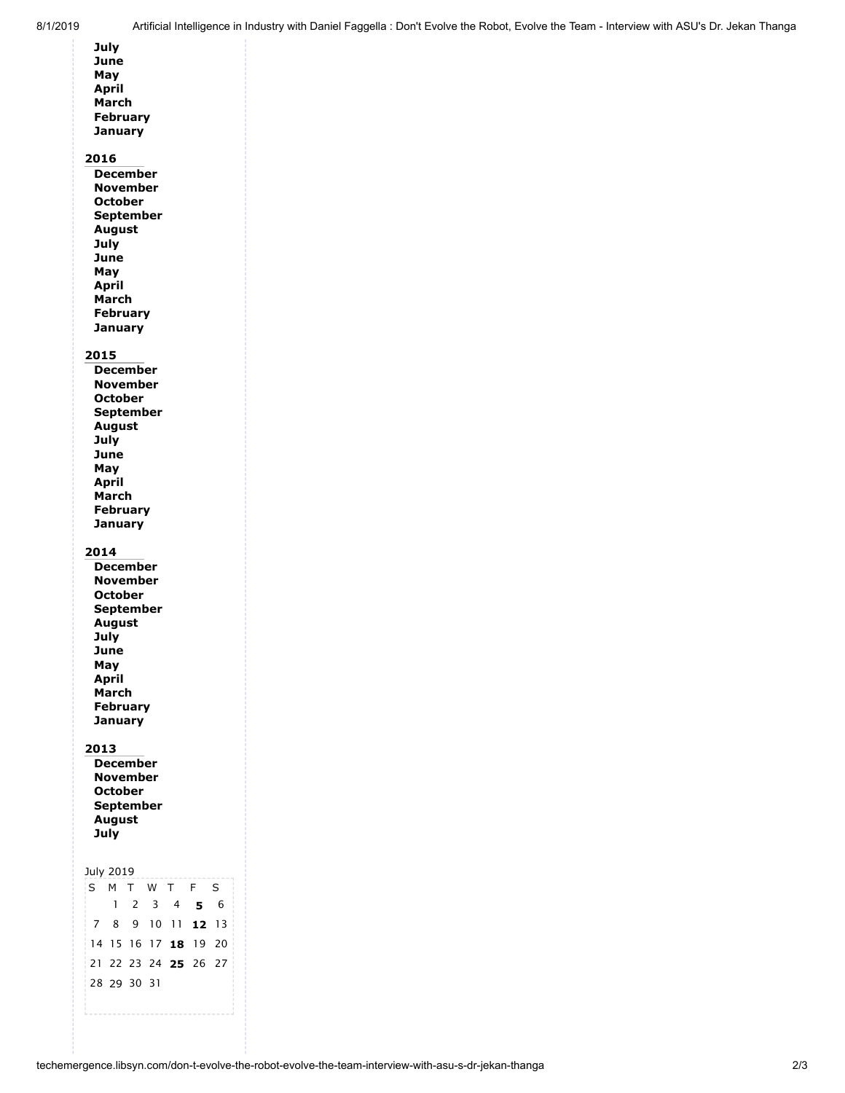| July<br>June<br>May<br>April<br>March<br><b>February</b><br><b>January</b><br>2016                                                                                                             |                          |
|------------------------------------------------------------------------------------------------------------------------------------------------------------------------------------------------|--------------------------|
| <b>December</b><br>November<br><b>October</b><br><b>September</b><br><b>August</b><br>July<br>June<br>May<br>April<br>March<br><b>February</b><br>January                                      |                          |
| 2015<br><b>December</b><br><b>November</b><br><b>October</b><br><b>September</b><br><b>August</b><br>July<br>June<br>May<br>April<br>March<br><b>February</b><br><b>January</b>                |                          |
| 2014<br>December<br>November<br><b>October</b><br><b>September</b><br><b>August</b><br>July<br>June<br>May<br><b>April</b><br>March<br><b>February</b><br>January                              |                          |
| 2013<br><b>December</b><br>November<br><b>October</b><br>September<br><b>August</b><br>July                                                                                                    |                          |
| July 2019<br>M T W T<br>F<br>S.<br>1<br>2<br>3<br>$\overline{4}$<br>5<br>10 11<br>$\overline{7}$<br>9<br>8<br>12<br>14 15 16<br>17<br>19<br>18<br>21<br>22<br>23<br>24 25<br>26<br>28 29 30 31 | S<br>6<br>13<br>20<br>27 |